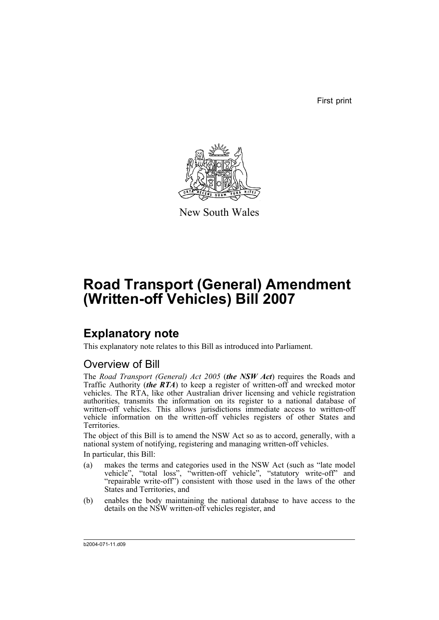First print



New South Wales

# **Road Transport (General) Amendment (Written-off Vehicles) Bill 2007**

# **Explanatory note**

This explanatory note relates to this Bill as introduced into Parliament.

## Overview of Bill

The *Road Transport (General) Act 2005* (*the NSW Act*) requires the Roads and Traffic Authority (*the RTA*) to keep a register of written-off and wrecked motor vehicles. The RTA, like other Australian driver licensing and vehicle registration authorities, transmits the information on its register to a national database of written-off vehicles. This allows jurisdictions immediate access to written-off vehicle information on the written-off vehicles registers of other States and Territories.

The object of this Bill is to amend the NSW Act so as to accord, generally, with a national system of notifying, registering and managing written-off vehicles. In particular, this Bill:

- (a) makes the terms and categories used in the NSW Act (such as "late model vehicle", "total loss", "written-off vehicle", "statutory write-off" and "repairable write-off") consistent with those used in the laws of the other States and Territories, and
- (b) enables the body maintaining the national database to have access to the details on the NSW written-off vehicles register, and

b2004-071-11.d09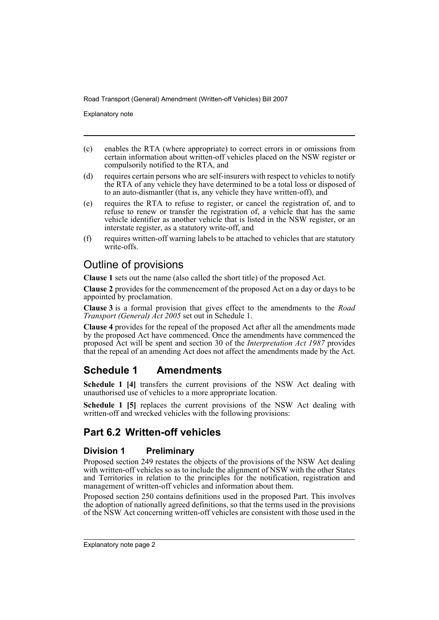Explanatory note

- (c) enables the RTA (where appropriate) to correct errors in or omissions from certain information about written-off vehicles placed on the NSW register or compulsorily notified to the RTA, and
- (d) requires certain persons who are self-insurers with respect to vehicles to notify the RTA of any vehicle they have determined to be a total loss or disposed of to an auto-dismantler (that is, any vehicle they have written-off), and
- (e) requires the RTA to refuse to register, or cancel the registration of, and to refuse to renew or transfer the registration of, a vehicle that has the same vehicle identifier as another vehicle that is listed in the NSW register, or an interstate register, as a statutory write-off, and
- (f) requires written-off warning labels to be attached to vehicles that are statutory write-offs.

## Outline of provisions

**Clause 1** sets out the name (also called the short title) of the proposed Act.

**Clause 2** provides for the commencement of the proposed Act on a day or days to be appointed by proclamation.

**Clause 3** is a formal provision that gives effect to the amendments to the *Road Transport (General) Act 2005* set out in Schedule 1.

**Clause 4** provides for the repeal of the proposed Act after all the amendments made by the proposed Act have commenced. Once the amendments have commenced the proposed Act will be spent and section 30 of the *Interpretation Act 1987* provides that the repeal of an amending Act does not affect the amendments made by the Act.

## **Schedule 1 Amendments**

**Schedule 1 [4]** transfers the current provisions of the NSW Act dealing with unauthorised use of vehicles to a more appropriate location.

**Schedule 1 [5]** replaces the current provisions of the NSW Act dealing with written-off and wrecked vehicles with the following provisions:

## **Part 6.2 Written-off vehicles**

### **Division 1 Preliminary**

Proposed section 249 restates the objects of the provisions of the NSW Act dealing with written-off vehicles so as to include the alignment of NSW with the other States and Territories in relation to the principles for the notification, registration and management of written-off vehicles and information about them.

Proposed section 250 contains definitions used in the proposed Part. This involves the adoption of nationally agreed definitions, so that the terms used in the provisions of the NSW Act concerning written-off vehicles are consistent with those used in the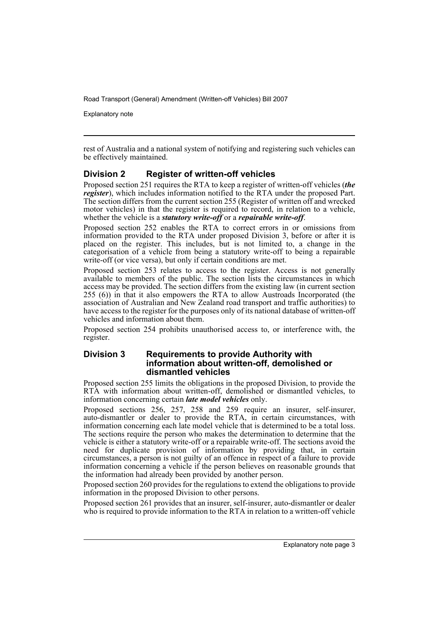Explanatory note

rest of Australia and a national system of notifying and registering such vehicles can be effectively maintained.

### **Division 2 Register of written-off vehicles**

Proposed section 251 requires the RTA to keep a register of written-off vehicles (*the register*), which includes information notified to the RTA under the proposed Part. The section differs from the current section 255 (Register of written off and wrecked motor vehicles) in that the register is required to record, in relation to a vehicle, whether the vehicle is a *statutory write-off* or a *repairable write-off*.

Proposed section 252 enables the RTA to correct errors in or omissions from information provided to the RTA under proposed Division 3, before or after it is placed on the register. This includes, but is not limited to, a change in the categorisation of a vehicle from being a statutory write-off to being a repairable write-off (or vice versa), but only if certain conditions are met.

Proposed section 253 relates to access to the register. Access is not generally available to members of the public. The section lists the circumstances in which access may be provided. The section differs from the existing law (in current section 255 (6)) in that it also empowers the RTA to allow Austroads Incorporated (the association of Australian and New Zealand road transport and traffic authorities) to have access to the register for the purposes only of its national database of written-off vehicles and information about them.

Proposed section 254 prohibits unauthorised access to, or interference with, the register.

### **Division 3 Requirements to provide Authority with information about written-off, demolished or dismantled vehicles**

Proposed section 255 limits the obligations in the proposed Division, to provide the RTA with information about written-off, demolished or dismantled vehicles, to information concerning certain *late model vehicles* only.

Proposed sections 256, 257, 258 and 259 require an insurer, self-insurer, auto-dismantler or dealer to provide the RTA, in certain circumstances, with information concerning each late model vehicle that is determined to be a total loss. The sections require the person who makes the determination to determine that the vehicle is either a statutory write-off or a repairable write-off. The sections avoid the need for duplicate provision of information by providing that, in certain circumstances, a person is not guilty of an offence in respect of a failure to provide information concerning a vehicle if the person believes on reasonable grounds that the information had already been provided by another person.

Proposed section 260 provides for the regulations to extend the obligations to provide information in the proposed Division to other persons.

Proposed section 261 provides that an insurer, self-insurer, auto-dismantler or dealer who is required to provide information to the RTA in relation to a written-off vehicle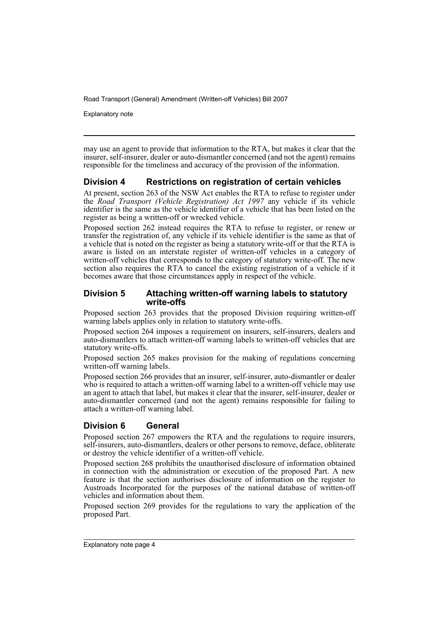Explanatory note

may use an agent to provide that information to the RTA, but makes it clear that the insurer, self-insurer, dealer or auto-dismantler concerned (and not the agent) remains responsible for the timeliness and accuracy of the provision of the information.

### **Division 4 Restrictions on registration of certain vehicles**

At present, section 263 of the NSW Act enables the RTA to refuse to register under the *Road Transport (Vehicle Registration) Act 1997* any vehicle if its vehicle identifier is the same as the vehicle identifier of a vehicle that has been listed on the register as being a written-off or wrecked vehicle.

Proposed section 262 instead requires the RTA to refuse to register, or renew or transfer the registration of, any vehicle if its vehicle identifier is the same as that of a vehicle that is noted on the register as being a statutory write-off or that the RTA is aware is listed on an interstate register of written-off vehicles in a category of written-off vehicles that corresponds to the category of statutory write-off. The new section also requires the RTA to cancel the existing registration of a vehicle if it becomes aware that those circumstances apply in respect of the vehicle.

### **Division 5 Attaching written-off warning labels to statutory write-offs**

Proposed section 263 provides that the proposed Division requiring written-off warning labels applies only in relation to statutory write-offs.

Proposed section 264 imposes a requirement on insurers, self-insurers, dealers and auto-dismantlers to attach written-off warning labels to written-off vehicles that are statutory write-offs.

Proposed section 265 makes provision for the making of regulations concerning written-off warning labels.

Proposed section 266 provides that an insurer, self-insurer, auto-dismantler or dealer who is required to attach a written-off warning label to a written-off vehicle may use an agent to attach that label, but makes it clear that the insurer, self-insurer, dealer or auto-dismantler concerned (and not the agent) remains responsible for failing to attach a written-off warning label.

### **Division 6 General**

Proposed section 267 empowers the RTA and the regulations to require insurers, self-insurers, auto-dismantlers, dealers or other persons to remove, deface, obliterate or destroy the vehicle identifier of a written-off vehicle.

Proposed section 268 prohibits the unauthorised disclosure of information obtained in connection with the administration or execution of the proposed Part. A new feature is that the section authorises disclosure of information on the register to Austroads Incorporated for the purposes of the national database of written-off vehicles and information about them.

Proposed section 269 provides for the regulations to vary the application of the proposed Part.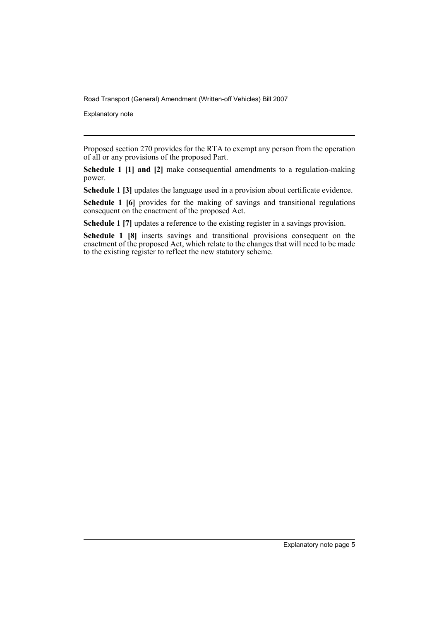Explanatory note

Proposed section 270 provides for the RTA to exempt any person from the operation of all or any provisions of the proposed Part.

**Schedule 1 [1] and [2]** make consequential amendments to a regulation-making power.

**Schedule 1 [3]** updates the language used in a provision about certificate evidence.

**Schedule 1 [6]** provides for the making of savings and transitional regulations consequent on the enactment of the proposed Act.

**Schedule 1 [7]** updates a reference to the existing register in a savings provision.

**Schedule 1 [8]** inserts savings and transitional provisions consequent on the enactment of the proposed Act, which relate to the changes that will need to be made to the existing register to reflect the new statutory scheme.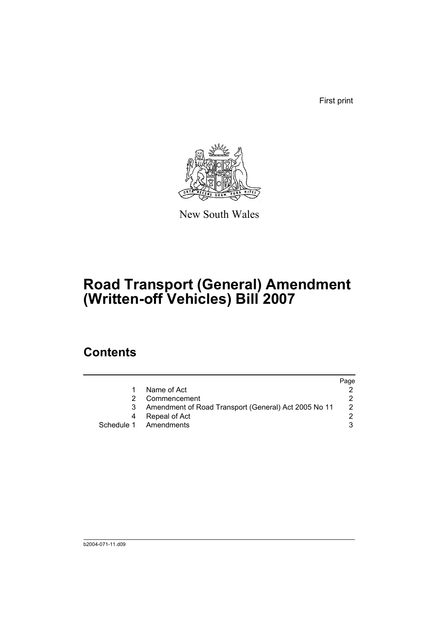First print



New South Wales

# **Road Transport (General) Amendment (Written-off Vehicles) Bill 2007**

## **Contents**

|                                                      | Page          |
|------------------------------------------------------|---------------|
| Name of Act                                          |               |
| Commencement                                         |               |
| Amendment of Road Transport (General) Act 2005 No 11 | $\mathcal{P}$ |
| Repeal of Act                                        |               |
| Schedule 1 Amendments                                |               |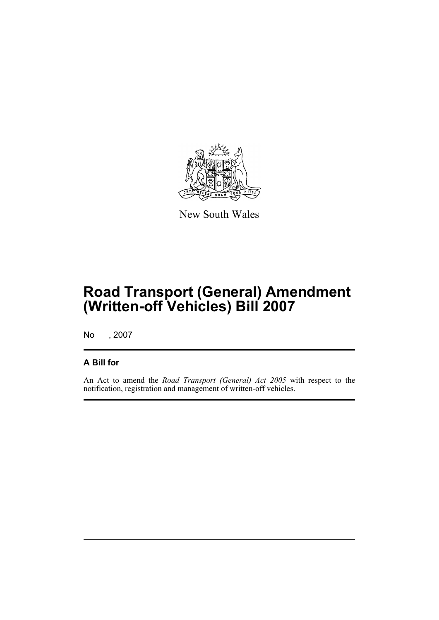

New South Wales

# **Road Transport (General) Amendment (Written-off Vehicles) Bill 2007**

No , 2007

### **A Bill for**

An Act to amend the *Road Transport (General) Act 2005* with respect to the notification, registration and management of written-off vehicles.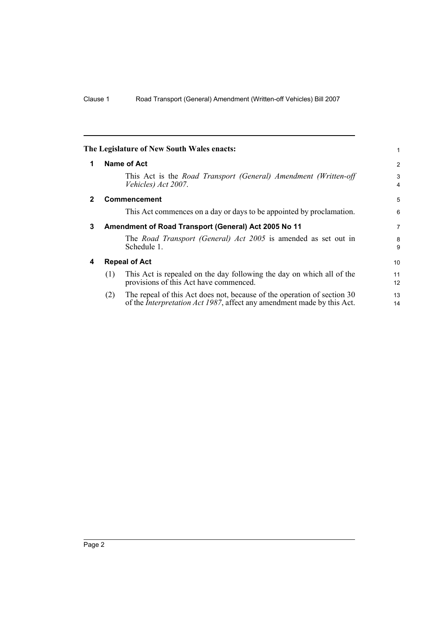<span id="page-9-3"></span><span id="page-9-2"></span><span id="page-9-1"></span><span id="page-9-0"></span>

|              |     | The Legislature of New South Wales enacts:                                                                                                                | 1               |
|--------------|-----|-----------------------------------------------------------------------------------------------------------------------------------------------------------|-----------------|
| 1            |     | Name of Act                                                                                                                                               | 2               |
|              |     | This Act is the Road Transport (General) Amendment (Written-off<br>Vehicles) Act 2007.                                                                    | 3<br>4          |
| $\mathbf{2}$ |     | <b>Commencement</b>                                                                                                                                       | 5               |
|              |     | This Act commences on a day or days to be appointed by proclamation.                                                                                      | 6               |
| 3            |     | Amendment of Road Transport (General) Act 2005 No 11                                                                                                      | $\overline{7}$  |
|              |     | The Road Transport (General) Act 2005 is amended as set out in<br>Schedule 1.                                                                             | 8<br>9          |
| 4            |     | <b>Repeal of Act</b>                                                                                                                                      | 10 <sup>1</sup> |
|              | (1) | This Act is repealed on the day following the day on which all of the<br>provisions of this Act have commenced.                                           | 11<br>12        |
|              | (2) | The repeal of this Act does not, because of the operation of section 30<br>of the <i>Interpretation Act 1987</i> , affect any amendment made by this Act. | 13<br>14        |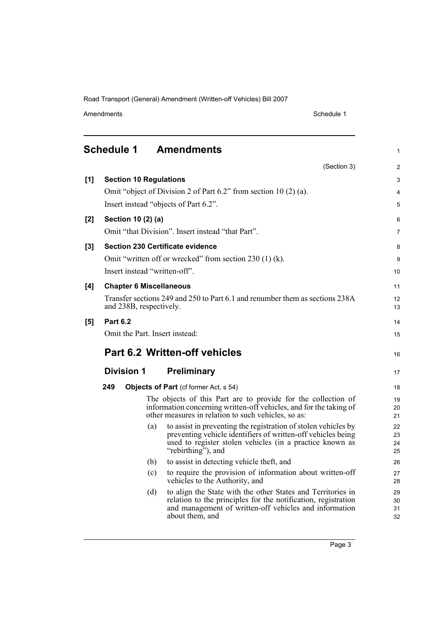Amendments Schedule 1

1

<span id="page-10-0"></span>

|     |                 |                                | (Section 3)                                                                                                                                                                                                     | $\overline{2}$       |
|-----|-----------------|--------------------------------|-----------------------------------------------------------------------------------------------------------------------------------------------------------------------------------------------------------------|----------------------|
| [1] |                 | <b>Section 10 Regulations</b>  |                                                                                                                                                                                                                 | 3                    |
|     |                 |                                | Omit "object of Division 2 of Part 6.2" from section 10 (2) (a).                                                                                                                                                | $\overline{4}$       |
|     |                 |                                | Insert instead "objects of Part 6.2".                                                                                                                                                                           | 5                    |
| [2] |                 | Section 10 (2) (a)             |                                                                                                                                                                                                                 | 6                    |
|     |                 |                                | Omit "that Division". Insert instead "that Part".                                                                                                                                                               | 7                    |
| [3] |                 |                                | <b>Section 230 Certificate evidence</b>                                                                                                                                                                         | 8                    |
|     |                 |                                | Omit "written off or wrecked" from section 230 (1) (k).                                                                                                                                                         | 9                    |
|     |                 |                                | Insert instead "written-off".                                                                                                                                                                                   | 10                   |
| [4] |                 | <b>Chapter 6 Miscellaneous</b> |                                                                                                                                                                                                                 | 11                   |
|     |                 | and 238B, respectively.        | Transfer sections 249 and 250 to Part 6.1 and renumber them as sections 238A                                                                                                                                    | 12<br>13             |
| [5] | <b>Part 6.2</b> |                                |                                                                                                                                                                                                                 | 14                   |
|     |                 |                                | Omit the Part. Insert instead:                                                                                                                                                                                  | 15                   |
|     |                 |                                | Part 6.2 Written-off vehicles                                                                                                                                                                                   | 16                   |
|     |                 | <b>Division 1</b>              | Preliminary                                                                                                                                                                                                     | 17                   |
|     | 249             |                                | Objects of Part (cf former Act, s 54)                                                                                                                                                                           | 18                   |
|     |                 |                                | The objects of this Part are to provide for the collection of<br>information concerning written-off vehicles, and for the taking of<br>other measures in relation to such vehicles, so as:                      | 19<br>20<br>21       |
|     |                 | (a)                            | to assist in preventing the registration of stolen vehicles by<br>preventing vehicle identifiers of written-off vehicles being<br>used to register stolen vehicles (in a practice known as<br>"rebirthing", and | 22<br>23<br>24<br>25 |
|     |                 | (b)                            | to assist in detecting vehicle theft, and                                                                                                                                                                       | 26                   |
|     |                 | (c)                            | to require the provision of information about written-off<br>vehicles to the Authority, and                                                                                                                     | 27<br>28             |
|     |                 | (d)                            | to align the State with the other States and Territories in<br>relation to the principles for the notification, registration<br>and management of written-off vehicles and information<br>about them, and       | 29<br>30<br>31<br>32 |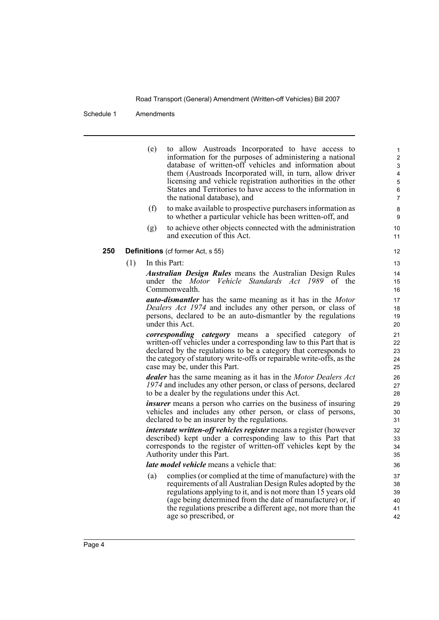#### Schedule 1 Amendments

(e) to allow Austroads Incorporated to have access to information for the purposes of administering a national database of written-off vehicles and information about them (Austroads Incorporated will, in turn, allow driver licensing and vehicle registration authorities in the other States and Territories to have access to the information in the national database), and (f) to make available to prospective purchasers information as to whether a particular vehicle has been written-off, and (g) to achieve other objects connected with the administration and execution of this Act. **250 Definitions** (cf former Act, s 55) (1) In this Part: *Australian Design Rules* means the Australian Design Rules under the *Motor Vehicle Standards Act 1989* of the Commonwealth. *auto-dismantler* has the same meaning as it has in the *Motor Dealers Act 1974* and includes any other person, or class of persons, declared to be an auto-dismantler by the regulations under this Act. *corresponding category* means a specified category of written-off vehicles under a corresponding law to this Part that is declared by the regulations to be a category that corresponds to the category of statutory write-offs or repairable write-offs, as the case may be, under this Part. *dealer* has the same meaning as it has in the *Motor Dealers Act 1974* and includes any other person, or class of persons, declared to be a dealer by the regulations under this Act. *insurer* means a person who carries on the business of insuring vehicles and includes any other person, or class of persons, declared to be an insurer by the regulations. *interstate written-off vehicles register* means a register (however described) kept under a corresponding law to this Part that corresponds to the register of written-off vehicles kept by the Authority under this Part. *late model vehicle* means a vehicle that: (a) complies (or complied at the time of manufacture) with the requirements of all Australian Design Rules adopted by the regulations applying to it, and is not more than 15 years old (age being determined from the date of manufacture) or, if the regulations prescribe a different age, not more than the

age so prescribed, or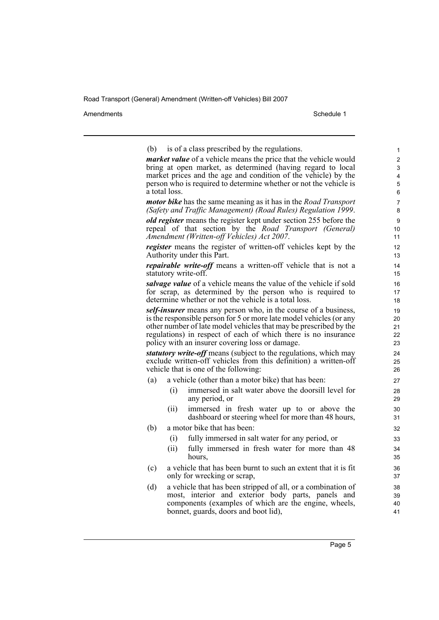Amendments Schedule 1

| is of a class prescribed by the regulations.<br>(b)                                                                                 | 1        |  |  |  |  |  |  |
|-------------------------------------------------------------------------------------------------------------------------------------|----------|--|--|--|--|--|--|
| <i>market value</i> of a vehicle means the price that the vehicle would                                                             |          |  |  |  |  |  |  |
| bring at open market, as determined (having regard to local                                                                         |          |  |  |  |  |  |  |
| market prices and the age and condition of the vehicle) by the<br>person who is required to determine whether or not the vehicle is | 4<br>5   |  |  |  |  |  |  |
| a total loss.                                                                                                                       | 6        |  |  |  |  |  |  |
| <i>motor bike</i> has the same meaning as it has in the <i>Road Transport</i>                                                       | 7        |  |  |  |  |  |  |
| (Safety and Traffic Management) (Road Rules) Regulation 1999.                                                                       | 8        |  |  |  |  |  |  |
| <b><i>old register</i></b> means the register kept under section 255 before the                                                     | 9        |  |  |  |  |  |  |
| repeal of that section by the Road Transport (General)                                                                              | 10       |  |  |  |  |  |  |
| Amendment (Written-off Vehicles) Act 2007.                                                                                          | 11       |  |  |  |  |  |  |
| <i>register</i> means the register of written-off vehicles kept by the                                                              | 12       |  |  |  |  |  |  |
| Authority under this Part.                                                                                                          | 13       |  |  |  |  |  |  |
| <i>repairable write-off</i> means a written-off vehicle that is not a<br>statutory write-off.                                       | 14<br>15 |  |  |  |  |  |  |
| salvage value of a vehicle means the value of the vehicle if sold                                                                   | 16       |  |  |  |  |  |  |
| for scrap, as determined by the person who is required to                                                                           | 17       |  |  |  |  |  |  |
| determine whether or not the vehicle is a total loss.                                                                               | 18       |  |  |  |  |  |  |
| self-insurer means any person who, in the course of a business,                                                                     | 19       |  |  |  |  |  |  |
| is the responsible person for 5 or more late model vehicles (or any                                                                 | 20       |  |  |  |  |  |  |
| other number of late model vehicles that may be prescribed by the<br>regulations) in respect of each of which there is no insurance | 21<br>22 |  |  |  |  |  |  |
| policy with an insurer covering loss or damage.                                                                                     | 23       |  |  |  |  |  |  |
| <i>statutory write-off</i> means (subject to the regulations, which may                                                             | 24       |  |  |  |  |  |  |
| exclude written-off vehicles from this definition) a written-off                                                                    | 25       |  |  |  |  |  |  |
| vehicle that is one of the following:                                                                                               | 26       |  |  |  |  |  |  |
| a vehicle (other than a motor bike) that has been:<br>(a)                                                                           | 27       |  |  |  |  |  |  |
| immersed in salt water above the doorsill level for<br>$\left( i\right)$                                                            | 28       |  |  |  |  |  |  |
| any period, or                                                                                                                      | 29       |  |  |  |  |  |  |
| immersed in fresh water up to or above the<br>(ii)                                                                                  | 30       |  |  |  |  |  |  |
| dashboard or steering wheel for more than 48 hours,                                                                                 | 31       |  |  |  |  |  |  |
| a motor bike that has been:<br>(b)                                                                                                  | 32       |  |  |  |  |  |  |
| fully immersed in salt water for any period, or<br>(i)                                                                              | 33       |  |  |  |  |  |  |
| fully immersed in fresh water for more than 48<br>(ii)<br>hours,                                                                    | 34<br>35 |  |  |  |  |  |  |
| a vehicle that has been burnt to such an extent that it is fit<br>(c)                                                               | 36       |  |  |  |  |  |  |
| only for wrecking or scrap,                                                                                                         | 37       |  |  |  |  |  |  |
| a vehicle that has been stripped of all, or a combination of<br>(d)                                                                 | 38       |  |  |  |  |  |  |
| most, interior and exterior body parts, panels and<br>components (examples of which are the engine, wheels,                         | 39       |  |  |  |  |  |  |
| bonnet, guards, doors and boot lid),                                                                                                | 40<br>41 |  |  |  |  |  |  |
|                                                                                                                                     |          |  |  |  |  |  |  |
|                                                                                                                                     |          |  |  |  |  |  |  |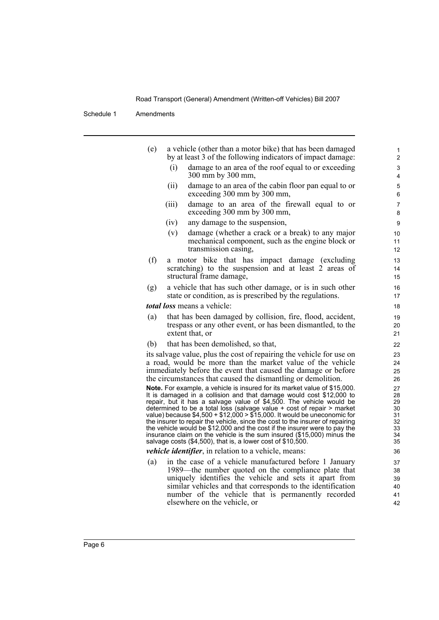| (e) | a vehicle (other than a motor bike) that has been damaged<br>by at least 3 of the following indicators of impact damage:                                                                                                                                                                                                                                                                                                                                                                                                                                                                                                                                                                  | 1<br>$\overline{2}$                                |
|-----|-------------------------------------------------------------------------------------------------------------------------------------------------------------------------------------------------------------------------------------------------------------------------------------------------------------------------------------------------------------------------------------------------------------------------------------------------------------------------------------------------------------------------------------------------------------------------------------------------------------------------------------------------------------------------------------------|----------------------------------------------------|
|     | damage to an area of the roof equal to or exceeding<br>(i)<br>300 mm by 300 mm,                                                                                                                                                                                                                                                                                                                                                                                                                                                                                                                                                                                                           | 3<br>4                                             |
|     | damage to an area of the cabin floor pan equal to or<br>(ii)<br>exceeding 300 mm by 300 mm,                                                                                                                                                                                                                                                                                                                                                                                                                                                                                                                                                                                               | 5<br>6                                             |
|     | (iii)<br>damage to an area of the firewall equal to or<br>exceeding 300 mm by 300 mm,                                                                                                                                                                                                                                                                                                                                                                                                                                                                                                                                                                                                     | $\boldsymbol{7}$<br>8                              |
|     | (iv)<br>any damage to the suspension,                                                                                                                                                                                                                                                                                                                                                                                                                                                                                                                                                                                                                                                     | 9                                                  |
|     | damage (whether a crack or a break) to any major<br>(v)<br>mechanical component, such as the engine block or<br>transmission casing,                                                                                                                                                                                                                                                                                                                                                                                                                                                                                                                                                      | 10<br>11<br>12                                     |
| (f) | motor bike that has impact damage (excluding<br>a<br>scratching) to the suspension and at least 2 areas of<br>structural frame damage,                                                                                                                                                                                                                                                                                                                                                                                                                                                                                                                                                    | 13<br>14<br>15                                     |
| (g) | a vehicle that has such other damage, or is in such other<br>state or condition, as is prescribed by the regulations.                                                                                                                                                                                                                                                                                                                                                                                                                                                                                                                                                                     | 16<br>17                                           |
|     | total loss means a vehicle:                                                                                                                                                                                                                                                                                                                                                                                                                                                                                                                                                                                                                                                               | 18                                                 |
| (a) | that has been damaged by collision, fire, flood, accident,<br>trespass or any other event, or has been dismantled, to the<br>extent that, or                                                                                                                                                                                                                                                                                                                                                                                                                                                                                                                                              | 19<br>20<br>21                                     |
| (b) | that has been demolished, so that,                                                                                                                                                                                                                                                                                                                                                                                                                                                                                                                                                                                                                                                        | 22                                                 |
|     | its salvage value, plus the cost of repairing the vehicle for use on<br>a road, would be more than the market value of the vehicle<br>immediately before the event that caused the damage or before<br>the circumstances that caused the dismantling or demolition.                                                                                                                                                                                                                                                                                                                                                                                                                       | 23<br>24<br>25<br>26                               |
|     | Note. For example, a vehicle is insured for its market value of \$15,000.<br>It is damaged in a collision and that damage would cost \$12,000 to<br>repair, but it has a salvage value of \$4,500. The vehicle would be<br>determined to be a total loss (salvage value + cost of repair > market<br>value) because $$4,500 + $12,000 > $15,000$ . It would be uneconomic for<br>the insurer to repair the vehicle, since the cost to the insurer of repairing<br>the vehicle would be \$12,000 and the cost if the insurer were to pay the<br>insurance claim on the vehicle is the sum insured (\$15,000) minus the<br>salvage costs $(\$4,500)$ , that is, a lower cost of $$10,500$ . | 27<br>28<br>29<br>30<br>31<br>32<br>33<br>34<br>35 |
|     | <i>vehicle identifier</i> , in relation to a vehicle, means:                                                                                                                                                                                                                                                                                                                                                                                                                                                                                                                                                                                                                              | 36                                                 |
| (a) | in the case of a vehicle manufactured before 1 January<br>1989—the number quoted on the compliance plate that<br>uniquely identifies the vehicle and sets it apart from<br>similar vehicles and that corresponds to the identification<br>number of the vehicle that is permanently recorded<br>elsewhere on the vehicle, or                                                                                                                                                                                                                                                                                                                                                              | 37<br>38<br>39<br>40<br>41<br>42                   |
|     |                                                                                                                                                                                                                                                                                                                                                                                                                                                                                                                                                                                                                                                                                           |                                                    |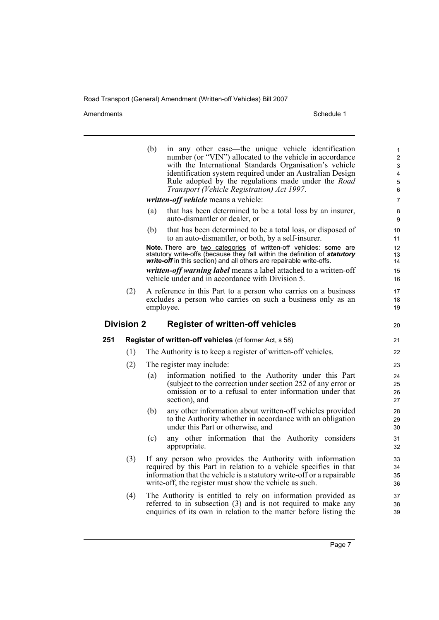Amendments Schedule 1

|     |                   | (b) | in any other case—the unique vehicle identification<br>number (or "VIN") allocated to the vehicle in accordance<br>with the International Standards Organisation's vehicle<br>identification system required under an Australian Design<br>Rule adopted by the regulations made under the Road<br>Transport (Vehicle Registration) Act 1997. | $\mathbf{1}$<br>$\overline{2}$<br>3<br>4<br>5<br>6 |
|-----|-------------------|-----|----------------------------------------------------------------------------------------------------------------------------------------------------------------------------------------------------------------------------------------------------------------------------------------------------------------------------------------------|----------------------------------------------------|
|     |                   |     | written-off vehicle means a vehicle:                                                                                                                                                                                                                                                                                                         | $\overline{7}$                                     |
|     |                   | (a) | that has been determined to be a total loss by an insurer,<br>auto-dismantler or dealer, or                                                                                                                                                                                                                                                  | 8<br>9                                             |
|     |                   | (b) | that has been determined to be a total loss, or disposed of<br>to an auto-dismantler, or both, by a self-insurer.                                                                                                                                                                                                                            | 10<br>11                                           |
|     |                   |     | Note. There are two categories of written-off vehicles: some are<br>statutory write-offs (because they fall within the definition of statutory<br>write-off in this section) and all others are repairable write-offs.                                                                                                                       | 12 <sup>2</sup><br>13<br>14                        |
|     |                   |     | written-off warning label means a label attached to a written-off<br>vehicle under and in accordance with Division 5.                                                                                                                                                                                                                        | 15<br>16                                           |
|     | (2)               |     | A reference in this Part to a person who carries on a business<br>excludes a person who carries on such a business only as an<br>employee.                                                                                                                                                                                                   | 17<br>18<br>19                                     |
|     | <b>Division 2</b> |     | <b>Register of written-off vehicles</b>                                                                                                                                                                                                                                                                                                      | 20                                                 |
| 251 |                   |     | Register of written-off vehicles (cf former Act, s 58)                                                                                                                                                                                                                                                                                       | 21                                                 |
|     | (1)               |     | The Authority is to keep a register of written-off vehicles.                                                                                                                                                                                                                                                                                 | 22                                                 |
|     | (2)               |     | The register may include:                                                                                                                                                                                                                                                                                                                    | 23                                                 |
|     |                   | (a) | information notified to the Authority under this Part<br>(subject to the correction under section 252 of any error or<br>omission or to a refusal to enter information under that<br>section), and                                                                                                                                           | 24<br>25<br>26<br>27                               |
|     |                   | (b) | any other information about written-off vehicles provided<br>to the Authority whether in accordance with an obligation<br>under this Part or otherwise, and                                                                                                                                                                                  | 28<br>29<br>30                                     |
|     |                   | (c) | any other information that the Authority considers<br>appropriate.                                                                                                                                                                                                                                                                           | 31<br>32                                           |
|     | (3)               |     | If any person who provides the Authority with information<br>required by this Part in relation to a vehicle specifies in that<br>information that the vehicle is a statutory write-off or a repairable<br>write-off, the register must show the vehicle as such.                                                                             | 33<br>34<br>35<br>36                               |
|     | (4)               |     | The Authority is entitled to rely on information provided as<br>referred to in subsection (3) and is not required to make any                                                                                                                                                                                                                | 37<br>38                                           |

enquiries of its own in relation to the matter before listing the

Page 7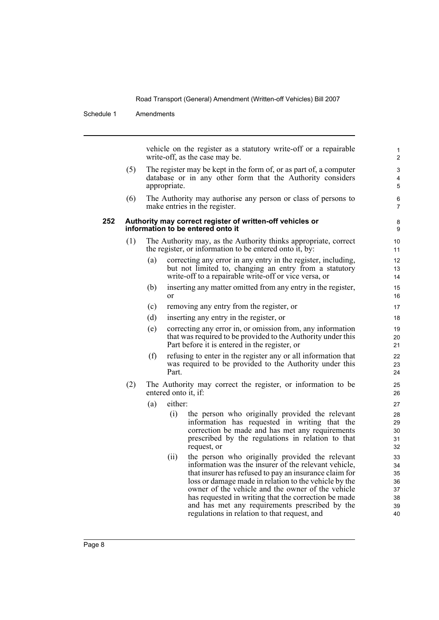Schedule 1 Amendments

vehicle on the register as a statutory write-off or a repairable write-off, as the case may be.

- (5) The register may be kept in the form of, or as part of, a computer database or in any other form that the Authority considers appropriate.
- (6) The Authority may authorise any person or class of persons to make entries in the register.

#### **252 Authority may correct register of written-off vehicles or information to be entered onto it**

- (1) The Authority may, as the Authority thinks appropriate, correct the register, or information to be entered onto it, by:
	- (a) correcting any error in any entry in the register, including, but not limited to, changing an entry from a statutory write-off to a repairable write-off or vice versa, or
	- (b) inserting any matter omitted from any entry in the register, or
	- (c) removing any entry from the register, or
	- (d) inserting any entry in the register, or
	- (e) correcting any error in, or omission from, any information that was required to be provided to the Authority under this Part before it is entered in the register, or
	- (f) refusing to enter in the register any or all information that was required to be provided to the Authority under this Part.
- (2) The Authority may correct the register, or information to be entered onto it, if:
	- (a) either:
		- (i) the person who originally provided the relevant information has requested in writing that the correction be made and has met any requirements prescribed by the regulations in relation to that request, or
		- (ii) the person who originally provided the relevant information was the insurer of the relevant vehicle, that insurer has refused to pay an insurance claim for loss or damage made in relation to the vehicle by the owner of the vehicle and the owner of the vehicle has requested in writing that the correction be made and has met any requirements prescribed by the regulations in relation to that request, and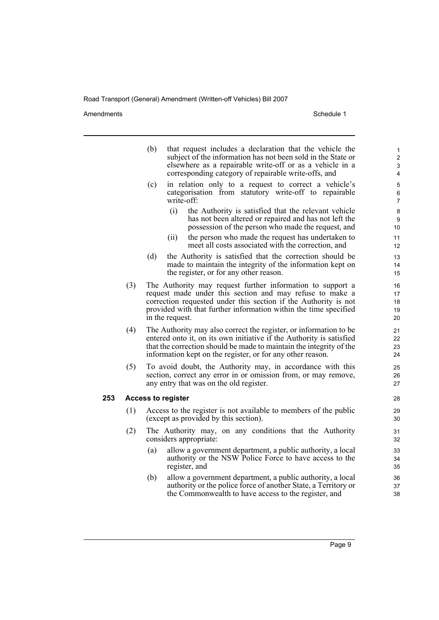Amendments Schedule 1

|     |     | (b) | that request includes a declaration that the vehicle the<br>subject of the information has not been sold in the State or<br>elsewhere as a repairable write-off or as a vehicle in a<br>corresponding category of repairable write-offs, and                                     | $\mathbf{1}$<br>$\overline{2}$<br>3<br>4 |
|-----|-----|-----|----------------------------------------------------------------------------------------------------------------------------------------------------------------------------------------------------------------------------------------------------------------------------------|------------------------------------------|
|     |     | (c) | in relation only to a request to correct a vehicle's<br>categorisation from statutory write-off to repairable<br>write-off:                                                                                                                                                      | $\mathbf 5$<br>$\,6\,$<br>$\overline{7}$ |
|     |     |     | the Authority is satisfied that the relevant vehicle<br>(i)<br>has not been altered or repaired and has not left the<br>possession of the person who made the request, and                                                                                                       | 8<br>9<br>10                             |
|     |     |     | the person who made the request has undertaken to<br>(ii)<br>meet all costs associated with the correction, and                                                                                                                                                                  | 11<br>12                                 |
|     |     | (d) | the Authority is satisfied that the correction should be<br>made to maintain the integrity of the information kept on<br>the register, or for any other reason.                                                                                                                  | 13<br>14<br>15                           |
|     | (3) |     | The Authority may request further information to support a<br>request made under this section and may refuse to make a<br>correction requested under this section if the Authority is not<br>provided with that further information within the time specified<br>in the request. | 16<br>17<br>18<br>19<br>20               |
|     | (4) |     | The Authority may also correct the register, or information to be.<br>entered onto it, on its own initiative if the Authority is satisfied<br>that the correction should be made to maintain the integrity of the<br>information kept on the register, or for any other reason.  | 21<br>22<br>23<br>24                     |
|     | (5) |     | To avoid doubt, the Authority may, in accordance with this<br>section, correct any error in or omission from, or may remove,<br>any entry that was on the old register.                                                                                                          | 25<br>26<br>27                           |
| 253 |     |     | <b>Access to register</b>                                                                                                                                                                                                                                                        | 28                                       |
|     | (1) |     | Access to the register is not available to members of the public<br>(except as provided by this section).                                                                                                                                                                        | 29<br>30                                 |
|     | (2) |     | The Authority may, on any conditions that the Authority<br>considers appropriate:                                                                                                                                                                                                | 31<br>32                                 |
|     |     | (a) | allow a government department, a public authority, a local<br>authority or the NSW Police Force to have access to the<br>register, and                                                                                                                                           | 33<br>34<br>35                           |
|     |     | (b) | allow a government department, a public authority, a local<br>authority or the police force of another State, a Territory or<br>the Commonwealth to have access to the register, and                                                                                             | 36<br>37<br>38                           |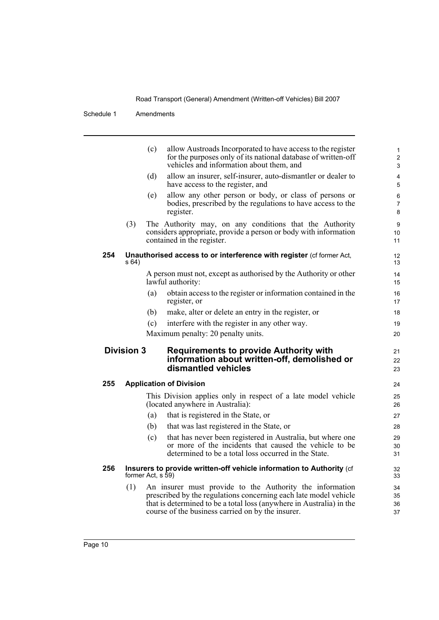|     |                   | (c)               | allow Austroads Incorporated to have access to the register<br>for the purposes only of its national database of written-off<br>vehicles and information about them, and                             | $\mathbf{1}$<br>$\overline{2}$<br>3 |
|-----|-------------------|-------------------|------------------------------------------------------------------------------------------------------------------------------------------------------------------------------------------------------|-------------------------------------|
|     |                   | (d)               | allow an insurer, self-insurer, auto-dismantler or dealer to<br>have access to the register, and                                                                                                     | $\overline{4}$<br>5                 |
|     |                   | (e)               | allow any other person or body, or class of persons or<br>bodies, prescribed by the regulations to have access to the<br>register.                                                                   | 6<br>7<br>8                         |
|     | (3)               |                   | The Authority may, on any conditions that the Authority<br>considers appropriate, provide a person or body with information<br>contained in the register.                                            | 9<br>10<br>11                       |
| 254 | s 64)             |                   | Unauthorised access to or interference with register (cf former Act,                                                                                                                                 | 12<br>13                            |
|     |                   |                   | A person must not, except as authorised by the Authority or other<br>lawful authority:                                                                                                               | 14<br>15                            |
|     |                   | (a)               | obtain access to the register or information contained in the<br>register, or                                                                                                                        | 16<br>17                            |
|     |                   | (b)               | make, alter or delete an entry in the register, or                                                                                                                                                   | 18                                  |
|     |                   | (c)               | interfere with the register in any other way.                                                                                                                                                        | 19                                  |
|     |                   |                   | Maximum penalty: 20 penalty units.                                                                                                                                                                   | 20                                  |
|     | <b>Division 3</b> |                   | <b>Requirements to provide Authority with</b><br>information about written-off, demolished or<br>dismantled vehicles                                                                                 | 21<br>22<br>23                      |
| 255 |                   |                   | <b>Application of Division</b>                                                                                                                                                                       | 24                                  |
|     |                   |                   | This Division applies only in respect of a late model vehicle<br>(located anywhere in Australia):                                                                                                    | 25<br>26                            |
|     |                   | (a)               | that is registered in the State, or                                                                                                                                                                  | 27                                  |
|     |                   | (b)               | that was last registered in the State, or                                                                                                                                                            | 28                                  |
|     |                   | (c)               | that has never been registered in Australia, but where one<br>or more of the incidents that caused the vehicle to be<br>determined to be a total loss occurred in the State.                         | 29<br>30<br>31                      |
| 256 |                   | former Act, s 59) | Insurers to provide written-off vehicle information to Authority (cf                                                                                                                                 | 32<br>33                            |
|     | (1)               |                   | An insurer must provide to the Authority the information<br>prescribed by the regulations concerning each late model vehicle<br>that is determined to be a total loss (anywhere in Australia) in the | 34<br>35<br>36                      |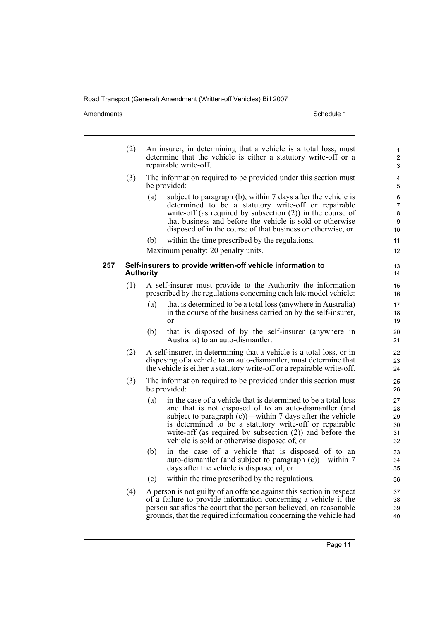Amendments Schedule 1

|     | (2) |                  | An insurer, in determining that a vehicle is a total loss, must<br>determine that the vehicle is either a statutory write-off or a<br>repairable write-off.                                                                                                                                                                                                       | 1<br>$\overline{2}$<br>3         |
|-----|-----|------------------|-------------------------------------------------------------------------------------------------------------------------------------------------------------------------------------------------------------------------------------------------------------------------------------------------------------------------------------------------------------------|----------------------------------|
|     | (3) |                  | The information required to be provided under this section must<br>be provided:                                                                                                                                                                                                                                                                                   | 4<br>5                           |
|     |     | (a)              | subject to paragraph (b), within 7 days after the vehicle is<br>determined to be a statutory write-off or repairable<br>write-off (as required by subsection $(2)$ ) in the course of<br>that business and before the vehicle is sold or otherwise<br>disposed of in the course of that business or otherwise, or                                                 | 6<br>7<br>8<br>9<br>10           |
|     |     | (b)              | within the time prescribed by the regulations.                                                                                                                                                                                                                                                                                                                    | 11                               |
|     |     |                  | Maximum penalty: 20 penalty units.                                                                                                                                                                                                                                                                                                                                | 12                               |
| 257 |     | <b>Authority</b> | Self-insurers to provide written-off vehicle information to                                                                                                                                                                                                                                                                                                       | 13<br>14                         |
|     | (1) |                  | A self-insurer must provide to the Authority the information<br>prescribed by the regulations concerning each late model vehicle:                                                                                                                                                                                                                                 | 15<br>16                         |
|     |     | (a)              | that is determined to be a total loss (anywhere in Australia)<br>in the course of the business carried on by the self-insurer,<br>or                                                                                                                                                                                                                              | 17<br>18<br>19                   |
|     |     | (b)              | that is disposed of by the self-insurer (anywhere in<br>Australia) to an auto-dismantler.                                                                                                                                                                                                                                                                         | 20<br>21                         |
|     | (2) |                  | A self-insurer, in determining that a vehicle is a total loss, or in<br>disposing of a vehicle to an auto-dismantler, must determine that<br>the vehicle is either a statutory write-off or a repairable write-off.                                                                                                                                               | 22<br>23<br>24                   |
|     | (3) |                  | The information required to be provided under this section must<br>be provided:                                                                                                                                                                                                                                                                                   | 25<br>26                         |
|     |     | (a)              | in the case of a vehicle that is determined to be a total loss<br>and that is not disposed of to an auto-dismantler (and<br>subject to paragraph $(c)$ —within 7 days after the vehicle<br>is determined to be a statutory write-off or repairable<br>write-off (as required by subsection $(2)$ ) and before the<br>vehicle is sold or otherwise disposed of, or | 27<br>28<br>29<br>30<br>31<br>32 |
|     |     | (b)              | in the case of a vehicle that is disposed of to an<br>auto-dismantler (and subject to paragraph (c))—within 7<br>days after the vehicle is disposed of, or                                                                                                                                                                                                        | 33<br>34<br>35                   |
|     |     | (c)              | within the time prescribed by the regulations.                                                                                                                                                                                                                                                                                                                    | 36                               |
|     | (4) |                  | A person is not guilty of an offence against this section in respect<br>of a failure to provide information concerning a vehicle if the<br>person satisfies the court that the person believed, on reasonable<br>grounds, that the required information concerning the vehicle had                                                                                | 37<br>38<br>39<br>40             |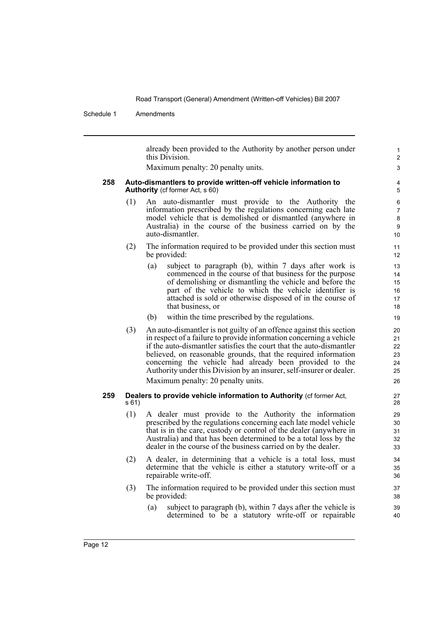Schedule 1 Amendments

already been provided to the Authority by another person under this Division.

Maximum penalty: 20 penalty units.

#### **258 Auto-dismantlers to provide written-off vehicle information to Authority** (cf former Act, s 60)

- (1) An auto-dismantler must provide to the Authority the information prescribed by the regulations concerning each late model vehicle that is demolished or dismantled (anywhere in Australia) in the course of the business carried on by the auto-dismantler.
- (2) The information required to be provided under this section must be provided:
	- (a) subject to paragraph (b), within 7 days after work is commenced in the course of that business for the purpose of demolishing or dismantling the vehicle and before the part of the vehicle to which the vehicle identifier is attached is sold or otherwise disposed of in the course of that business, or
	- (b) within the time prescribed by the regulations.
- (3) An auto-dismantler is not guilty of an offence against this section in respect of a failure to provide information concerning a vehicle if the auto-dismantler satisfies the court that the auto-dismantler believed, on reasonable grounds, that the required information concerning the vehicle had already been provided to the Authority under this Division by an insurer, self-insurer or dealer. Maximum penalty: 20 penalty units.

#### **259 Dealers to provide vehicle information to Authority** (cf former Act, s 61)

- (1) A dealer must provide to the Authority the information prescribed by the regulations concerning each late model vehicle that is in the care, custody or control of the dealer (anywhere in Australia) and that has been determined to be a total loss by the dealer in the course of the business carried on by the dealer.
- (2) A dealer, in determining that a vehicle is a total loss, must determine that the vehicle is either a statutory write-off or a repairable write-off.
- (3) The information required to be provided under this section must be provided:
	- (a) subject to paragraph (b), within 7 days after the vehicle is determined to be a statutory write-off or repairable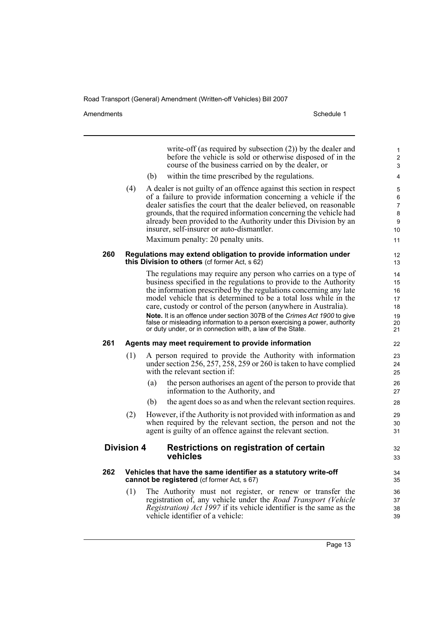Amendments Schedule 1

|     |                   |     | write-off (as required by subsection $(2)$ ) by the dealer and<br>before the vehicle is sold or otherwise disposed of in the<br>course of the business carried on by the dealer, or | 1<br>$\overline{c}$<br>3                     |
|-----|-------------------|-----|-------------------------------------------------------------------------------------------------------------------------------------------------------------------------------------|----------------------------------------------|
|     |                   | (b) | within the time prescribed by the regulations.                                                                                                                                      | 4                                            |
|     | (4)               |     | A dealer is not guilty of an offence against this section in respect                                                                                                                | $\mathbf 5$                                  |
|     |                   |     | of a failure to provide information concerning a vehicle if the                                                                                                                     | 6                                            |
|     |                   |     | dealer satisfies the court that the dealer believed, on reasonable<br>grounds, that the required information concerning the vehicle had                                             | 7<br>8                                       |
|     |                   |     | already been provided to the Authority under this Division by an                                                                                                                    | 9                                            |
|     |                   |     | insurer, self-insurer or auto-dismantler.                                                                                                                                           | 10                                           |
|     |                   |     | Maximum penalty: 20 penalty units.                                                                                                                                                  | 11                                           |
| 260 |                   |     | Regulations may extend obligation to provide information under<br>this Division to others (of former Act, s 62)                                                                     | 12<br>13                                     |
|     |                   |     | The regulations may require any person who carries on a type of                                                                                                                     | 14                                           |
|     |                   |     | business specified in the regulations to provide to the Authority                                                                                                                   | 15                                           |
|     |                   |     | the information prescribed by the regulations concerning any late<br>model vehicle that is determined to be a total loss while in the                                               | 16                                           |
|     |                   |     | care, custody or control of the person (anywhere in Australia).                                                                                                                     | 17<br>18                                     |
|     |                   |     | Note. It is an offence under section 307B of the Crimes Act 1900 to give                                                                                                            | 19                                           |
|     |                   |     | false or misleading information to a person exercising a power, authority<br>or duty under, or in connection with, a law of the State.                                              | 20<br>21                                     |
|     |                   |     |                                                                                                                                                                                     |                                              |
| 261 |                   |     | Agents may meet requirement to provide information                                                                                                                                  |                                              |
|     | (1)               |     | A person required to provide the Authority with information<br>under section 256, 257, 258, 259 or 260 is taken to have complied<br>with the relevant section if:                   | 22<br>23<br>24<br>25                         |
|     |                   | (a) | the person authorises an agent of the person to provide that<br>information to the Authority, and                                                                                   | 26<br>27                                     |
|     |                   | (b) | the agent does so as and when the relevant section requires.                                                                                                                        |                                              |
|     | (2)               |     | However, if the Authority is not provided with information as and                                                                                                                   | 28<br>29                                     |
|     |                   |     | when required by the relevant section, the person and not the<br>agent is guilty of an offence against the relevant section.                                                        |                                              |
|     | <b>Division 4</b> |     | Restrictions on registration of certain                                                                                                                                             |                                              |
|     |                   |     | vehicles                                                                                                                                                                            |                                              |
| 262 |                   |     | Vehicles that have the same identifier as a statutory write-off<br>cannot be registered (cf former Act, s 67)                                                                       |                                              |
|     | (1)               |     | The Authority must not register, or renew or transfer the                                                                                                                           |                                              |
|     |                   |     | registration of, any vehicle under the Road Transport (Vehicle                                                                                                                      | 30<br>31<br>32<br>33<br>34<br>35<br>36<br>37 |
|     |                   |     | <i>Registration) Act 1997</i> if its vehicle identifier is the same as the<br>vehicle identifier of a vehicle:                                                                      | 38<br>39                                     |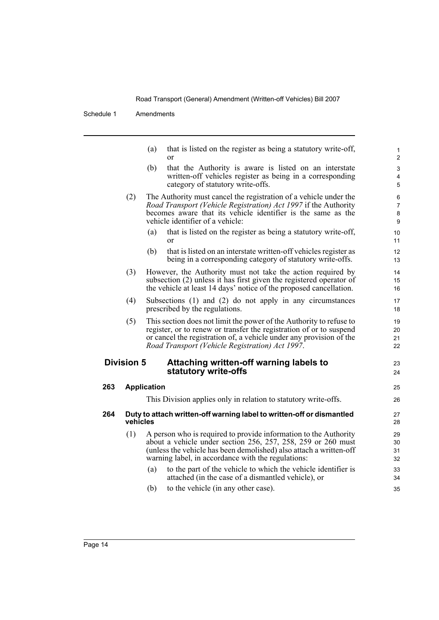Schedule 1 Amendments

(a) that is listed on the register as being a statutory write-off, or

23 24

34 35

- (b) that the Authority is aware is listed on an interstate written-off vehicles register as being in a corresponding category of statutory write-offs.
- (2) The Authority must cancel the registration of a vehicle under the *Road Transport (Vehicle Registration) Act 1997* if the Authority becomes aware that its vehicle identifier is the same as the vehicle identifier of a vehicle:
	- (a) that is listed on the register as being a statutory write-off, or
	- (b) that is listed on an interstate written-off vehicles register as being in a corresponding category of statutory write-offs.
- (3) However, the Authority must not take the action required by subsection (2) unless it has first given the registered operator of the vehicle at least 14 days' notice of the proposed cancellation.
- (4) Subsections (1) and (2) do not apply in any circumstances prescribed by the regulations.
- (5) This section does not limit the power of the Authority to refuse to register, or to renew or transfer the registration of or to suspend or cancel the registration of, a vehicle under any provision of the *Road Transport (Vehicle Registration) Act 1997*.

### **Division 5 Attaching written-off warning labels to statutory write-offs**

| 263 | <b>Application</b>                                                                |                                                                                                                                                                                                                                                              |                      |  |  |
|-----|-----------------------------------------------------------------------------------|--------------------------------------------------------------------------------------------------------------------------------------------------------------------------------------------------------------------------------------------------------------|----------------------|--|--|
|     |                                                                                   | This Division applies only in relation to statutory write-offs.                                                                                                                                                                                              | 26                   |  |  |
| 264 | Duty to attach written-off warning label to written-off or dismantled<br>vehicles |                                                                                                                                                                                                                                                              |                      |  |  |
|     | (1)                                                                               | A person who is required to provide information to the Authority<br>about a vehicle under section 256, 257, 258, 259 or 260 must<br>(unless the vehicle has been demolished) also attach a written-off<br>warning label, in accordance with the regulations: | 29<br>30<br>31<br>32 |  |  |
|     |                                                                                   | to the part of the vehicle to which the vehicle identifier is<br>(a)<br>attached (in the case of a dismantled vehicle), or                                                                                                                                   | 33<br>34             |  |  |

(b) to the vehicle (in any other case).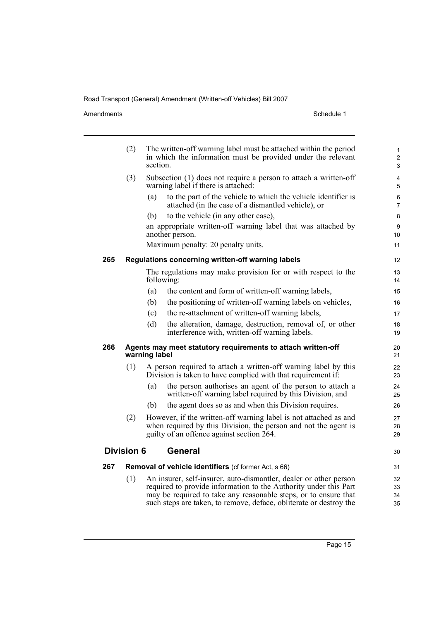#### Amendments Schedule 1

|     | (2)               | The written-off warning label must be attached within the period<br>1<br>in which the information must be provided under the relevant<br>$\overline{2}$<br>section.<br>3 |                                                                                                                                                                                  |                |  |  |  |
|-----|-------------------|--------------------------------------------------------------------------------------------------------------------------------------------------------------------------|----------------------------------------------------------------------------------------------------------------------------------------------------------------------------------|----------------|--|--|--|
|     | (3)               |                                                                                                                                                                          | Subsection (1) does not require a person to attach a written-off<br>warning label if there is attached:                                                                          | 4<br>5         |  |  |  |
|     |                   | (a)                                                                                                                                                                      | to the part of the vehicle to which the vehicle identifier is<br>attached (in the case of a dismantled vehicle), or                                                              | 6<br>7         |  |  |  |
|     |                   | (b)                                                                                                                                                                      | to the vehicle (in any other case),                                                                                                                                              | 8              |  |  |  |
|     |                   |                                                                                                                                                                          | an appropriate written-off warning label that was attached by<br>another person.                                                                                                 | 9<br>10        |  |  |  |
|     |                   |                                                                                                                                                                          | Maximum penalty: 20 penalty units.                                                                                                                                               | 11             |  |  |  |
| 265 |                   |                                                                                                                                                                          | Regulations concerning written-off warning labels                                                                                                                                | 12             |  |  |  |
|     |                   |                                                                                                                                                                          | The regulations may make provision for or with respect to the<br>following:                                                                                                      | 13<br>14       |  |  |  |
|     |                   | (a)                                                                                                                                                                      | the content and form of written-off warning labels,                                                                                                                              | 15             |  |  |  |
|     |                   | (b)                                                                                                                                                                      | the positioning of written-off warning labels on vehicles,                                                                                                                       | 16             |  |  |  |
|     |                   | (c)                                                                                                                                                                      | the re-attachment of written-off warning labels,                                                                                                                                 | 17             |  |  |  |
|     |                   | (d)                                                                                                                                                                      | the alteration, damage, destruction, removal of, or other<br>interference with, written-off warning labels.                                                                      | 18<br>19       |  |  |  |
| 266 |                   | warning label                                                                                                                                                            | Agents may meet statutory requirements to attach written-off                                                                                                                     | 20<br>21       |  |  |  |
|     | (1)               |                                                                                                                                                                          | A person required to attach a written-off warning label by this<br>Division is taken to have complied with that requirement if:                                                  | 22<br>23       |  |  |  |
|     |                   | (a)                                                                                                                                                                      | the person authorises an agent of the person to attach a<br>written-off warning label required by this Division, and                                                             | 24<br>25       |  |  |  |
|     |                   | (b)                                                                                                                                                                      | the agent does so as and when this Division requires.                                                                                                                            | 26             |  |  |  |
|     | (2)               |                                                                                                                                                                          | However, if the written-off warning label is not attached as and<br>when required by this Division, the person and not the agent is<br>guilty of an offence against section 264. | 27<br>28<br>29 |  |  |  |
|     | <b>Division 6</b> |                                                                                                                                                                          | General                                                                                                                                                                          | 30             |  |  |  |
| 267 |                   |                                                                                                                                                                          | Removal of vehicle identifiers (cf former Act, s 66)                                                                                                                             | 31             |  |  |  |
|     | (1)               |                                                                                                                                                                          | An insurer, self-insurer, auto-dismantler, dealer or other person                                                                                                                | 32             |  |  |  |
|     |                   |                                                                                                                                                                          | required to provide information to the Authority under this Part                                                                                                                 | 33             |  |  |  |
|     |                   |                                                                                                                                                                          | may be required to take any reasonable steps, or to ensure that<br>such steps are taken, to remove, deface, obliterate or destroy the                                            | 34<br>35       |  |  |  |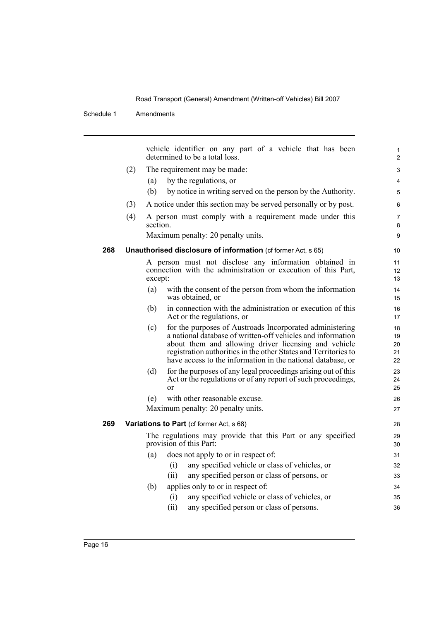|     |     | vehicle identifier on any part of a vehicle that has been<br>determined to be a total loss.                                                                                                                                                                                                                              | $\mathbf{1}$<br>$\overline{2}$ |
|-----|-----|--------------------------------------------------------------------------------------------------------------------------------------------------------------------------------------------------------------------------------------------------------------------------------------------------------------------------|--------------------------------|
|     | (2) | The requirement may be made:                                                                                                                                                                                                                                                                                             | 3                              |
|     |     | by the regulations, or<br>(a)                                                                                                                                                                                                                                                                                            | 4                              |
|     |     | by notice in writing served on the person by the Authority.<br>(b)                                                                                                                                                                                                                                                       | 5                              |
|     | (3) | A notice under this section may be served personally or by post.                                                                                                                                                                                                                                                         | 6                              |
|     | (4) | A person must comply with a requirement made under this<br>section.                                                                                                                                                                                                                                                      | $\overline{7}$<br>8            |
|     |     | Maximum penalty: 20 penalty units.                                                                                                                                                                                                                                                                                       | 9                              |
| 268 |     | Unauthorised disclosure of information (cf former Act, s 65)                                                                                                                                                                                                                                                             | 10                             |
|     |     | A person must not disclose any information obtained in<br>connection with the administration or execution of this Part,<br>except:                                                                                                                                                                                       | 11<br>12<br>13                 |
|     |     | (a)<br>with the consent of the person from whom the information<br>was obtained, or                                                                                                                                                                                                                                      | 14<br>15                       |
|     |     | in connection with the administration or execution of this<br>(b)<br>Act or the regulations, or                                                                                                                                                                                                                          | 16<br>17                       |
|     |     | for the purposes of Austroads Incorporated administering<br>(c)<br>a national database of written-off vehicles and information<br>about them and allowing driver licensing and vehicle<br>registration authorities in the other States and Territories to<br>have access to the information in the national database, or | 18<br>19<br>20<br>21<br>22     |
|     |     | for the purposes of any legal proceedings arising out of this<br>(d)<br>Act or the regulations or of any report of such proceedings,<br><sub>or</sub>                                                                                                                                                                    | 23<br>24<br>25                 |
|     |     | with other reasonable excuse.<br>(e)                                                                                                                                                                                                                                                                                     | 26                             |
|     |     | Maximum penalty: 20 penalty units.                                                                                                                                                                                                                                                                                       | 27                             |
| 269 |     | Variations to Part (cf former Act, s 68)                                                                                                                                                                                                                                                                                 | 28                             |
|     |     | The regulations may provide that this Part or any specified<br>provision of this Part:                                                                                                                                                                                                                                   | 29<br>30                       |
|     |     | does not apply to or in respect of:<br>(a)                                                                                                                                                                                                                                                                               | 31                             |
|     |     | any specified vehicle or class of vehicles, or<br>(i)                                                                                                                                                                                                                                                                    | 32                             |
|     |     | (ii)<br>any specified person or class of persons, or                                                                                                                                                                                                                                                                     | 33                             |
|     |     | applies only to or in respect of:<br>(b)                                                                                                                                                                                                                                                                                 | 34                             |
|     |     | any specified vehicle or class of vehicles, or<br>(i)                                                                                                                                                                                                                                                                    | 35                             |
|     |     | any specified person or class of persons.<br>(ii)                                                                                                                                                                                                                                                                        | 36                             |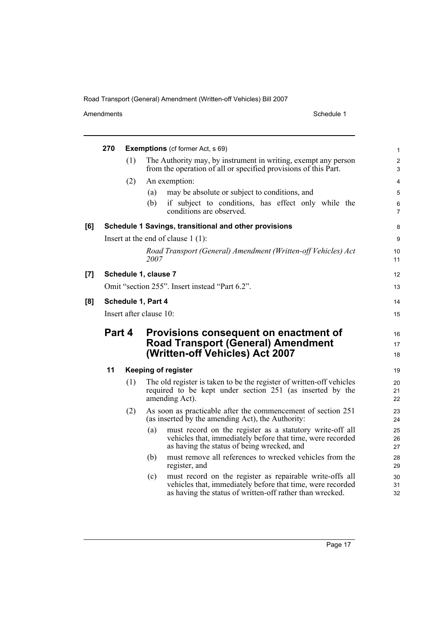Amendments Schedule 1

|     | 270                                            |        | <b>Exemptions</b> (of former Act, s 69)                                                                                                                                                   | $\mathbf{1}$        |  |  |
|-----|------------------------------------------------|--------|-------------------------------------------------------------------------------------------------------------------------------------------------------------------------------------------|---------------------|--|--|
|     |                                                | (1)    | The Authority may, by instrument in writing, exempt any person<br>from the operation of all or specified provisions of this Part.                                                         | $\overline{2}$<br>3 |  |  |
|     |                                                | (2)    | An exemption:                                                                                                                                                                             | $\overline{4}$      |  |  |
|     |                                                |        | may be absolute or subject to conditions, and<br>(a)                                                                                                                                      | 5                   |  |  |
|     |                                                |        | if subject to conditions, has effect only while the<br>(b)<br>conditions are observed.                                                                                                    | 6<br>$\overline{7}$ |  |  |
| [6] |                                                |        | Schedule 1 Savings, transitional and other provisions                                                                                                                                     | 8                   |  |  |
|     |                                                |        | Insert at the end of clause $1(1)$ :                                                                                                                                                      | 9                   |  |  |
|     |                                                |        | Road Transport (General) Amendment (Written-off Vehicles) Act<br>2007                                                                                                                     | 10<br>11            |  |  |
| [7] |                                                |        | Schedule 1, clause 7                                                                                                                                                                      | 12                  |  |  |
|     | Omit "section 255". Insert instead "Part 6.2". |        |                                                                                                                                                                                           |                     |  |  |
| [8] | Schedule 1, Part 4                             |        |                                                                                                                                                                                           |                     |  |  |
|     |                                                |        | Insert after clause 10:                                                                                                                                                                   | 15                  |  |  |
|     |                                                | Part 4 |                                                                                                                                                                                           |                     |  |  |
|     |                                                |        |                                                                                                                                                                                           |                     |  |  |
|     |                                                |        | Provisions consequent on enactment of                                                                                                                                                     | 16                  |  |  |
|     |                                                |        | <b>Road Transport (General) Amendment</b><br>(Written-off Vehicles) Act 2007                                                                                                              | 17<br>18            |  |  |
|     | 11                                             |        | <b>Keeping of register</b>                                                                                                                                                                | 19                  |  |  |
|     |                                                | (1)    | The old register is taken to be the register of written-off vehicles<br>required to be kept under section 251 (as inserted by the<br>amending Act).                                       | 20<br>21<br>22      |  |  |
|     |                                                | (2)    | As soon as practicable after the commencement of section 251<br>(as inserted by the amending Act), the Authority:                                                                         | 23<br>24            |  |  |
|     |                                                |        | must record on the register as a statutory write-off all<br>(a)<br>vehicles that, immediately before that time, were recorded<br>as having the status of being wrecked, and               | 25<br>26<br>27      |  |  |
|     |                                                |        | must remove all references to wrecked vehicles from the<br>(b)<br>register, and                                                                                                           | 28<br>29            |  |  |
|     |                                                |        | must record on the register as repairable write-offs all<br>(c)<br>vehicles that, immediately before that time, were recorded<br>as having the status of written-off rather than wrecked. | 30<br>31<br>32      |  |  |